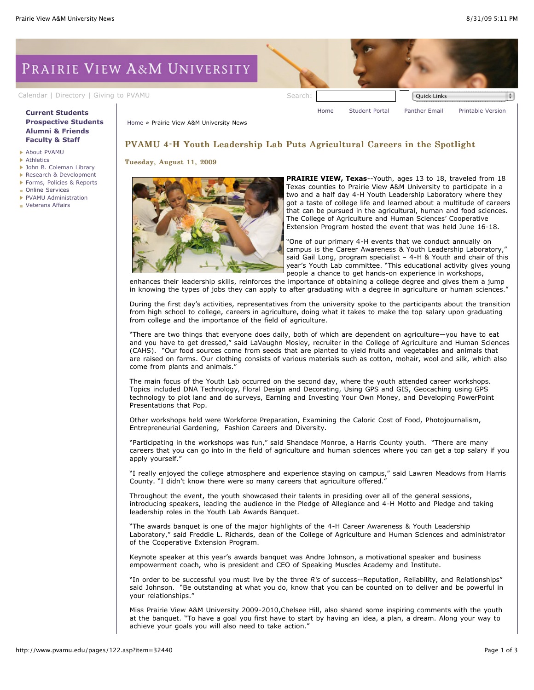# PRAIRIE VIEW A&M UNIVERSITY

[Calendar](http://www.pvamu.edu/pages/105.asp) | [Directory](http://www.pvamu.edu/pages/225.asp) | [Giving to PVAMU](http://www.pvamu.edu/giving) Search: Search: Search: Quick Links

### **[Current Students](http://www.pvamu.edu/pages/106.asp) [Prospective Students](http://www.pvamu.edu/pages/113.asp) [Alumni & Friends](http://www.pvamu.edu/pages/103.asp) [Faculty & Staff](http://www.pvamu.edu/pages/107.asp)**

- [About PVAMU](http://www.pvamu.edu/pages/119.asp)
- **[Athletics](http://www.pvamu.edu/pages/104.asp)**
- [John B. Coleman Library](http://www.pvamu.edu/pages/3585.asp)
- [Research & Development](http://www.pvamu.edu/pages/108.asp)
- [Forms, Policies & Reports](http://www.pvamu.edu/pages/5302.asp)
- [Online Services](http://www.pvamu.edu/pages/109.asp)
- [PVAMU Administration](http://www.pvamu.edu/pages/5303.asp)
- **[Veterans Affairs](http://www.pvamu.edu/pages/4721.asp)**

[Home](http://www.pvamu.edu/pages/1.asp) » Prairie View A&M University News

## PVAMU 4-H Youth Leadership Lab Puts Agricultural Careers in the Spotlight

Tuesday, August 11, 2009



**PRAIRIE VIEW, Texas**--Youth, ages 13 to 18, traveled from 18 Texas counties to Prairie View A&M University to participate in a two and a half day 4-H Youth Leadership Laboratory where they got a taste of college life and learned about a multitude of careers that can be pursued in the agricultural, human and food sciences. The College of Agriculture and Human Sciences' Cooperative Extension Program hosted the event that was held June 16-18.

[Home](http://www.pvamu.edu/pages/1.asp) [Student Portal](http://panthertracks.pvamu.edu/) [Panther Email](http://www.pvamu.edu/pages/1740.asp) [Printable Version](http://www.pvamu.edu/print/122.asp)

"One of our primary 4-H events that we conduct annually on campus is the Career Awareness & Youth Leadership Laboratory," said Gail Long, program specialist – 4-H & Youth and chair of this year's Youth Lab committee. "This educational activity gives young people a chance to get hands-on experience in workshops,

enhances their leadership skills, reinforces the importance of obtaining a college degree and gives them a jump in knowing the types of jobs they can apply to after graduating with a degree in agriculture or human sciences."

During the first day's activities, representatives from the university spoke to the participants about the transition from high school to college, careers in agriculture, doing what it takes to make the top salary upon graduating from college and the importance of the field of agriculture.

"There are two things that everyone does daily, both of which are dependent on agriculture—you have to eat and you have to get dressed," said LaVaughn Mosley, recruiter in the College of Agriculture and Human Sciences (CAHS). "Our food sources come from seeds that are planted to yield fruits and vegetables and animals that are raised on farms. Our clothing consists of various materials such as cotton, mohair, wool and silk, which also come from plants and animals."

The main focus of the Youth Lab occurred on the second day, where the youth attended career workshops. Topics included DNA Technology, Floral Design and Decorating, Using GPS and GIS, Geocaching using GPS technology to plot land and do surveys, Earning and Investing Your Own Money, and Developing PowerPoint Presentations that Pop.

Other workshops held were Workforce Preparation, Examining the Caloric Cost of Food, Photojournalism, Entrepreneurial Gardening, Fashion Careers and Diversity.

"Participating in the workshops was fun," said Shandace Monroe, a Harris County youth. "There are many careers that you can go into in the field of agriculture and human sciences where you can get a top salary if you apply yourself."

"I really enjoyed the college atmosphere and experience staying on campus," said Lawren Meadows from Harris County. "I didn't know there were so many careers that agriculture offered."

Throughout the event, the youth showcased their talents in presiding over all of the general sessions, introducing speakers, leading the audience in the Pledge of Allegiance and 4-H Motto and Pledge and taking leadership roles in the Youth Lab Awards Banquet.

"The awards banquet is one of the major highlights of the 4-H Career Awareness & Youth Leadership Laboratory," said Freddie L. Richards, dean of the College of Agriculture and Human Sciences and administrator of the Cooperative Extension Program.

Keynote speaker at this year's awards banquet was Andre Johnson, a motivational speaker and business empowerment coach, who is president and CEO of Speaking Muscles Academy and Institute.

"In order to be successful you must live by the three *R's* of success--Reputation, Reliability, and Relationships" said Johnson. "Be outstanding at what you do, know that you can be counted on to deliver and be powerful in your relationships."

Miss Prairie View A&M University 2009-2010,Chelsee Hill, also shared some inspiring comments with the youth at the banquet. "To have a goal you first have to start by having an idea, a plan, a dream. Along your way to achieve your goals you will also need to take action."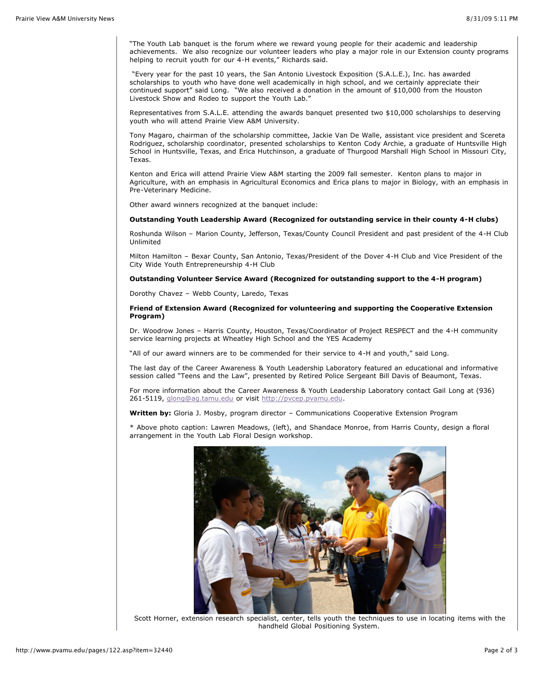"The Youth Lab banquet is the forum where we reward young people for their academic and leadership achievements. We also recognize our volunteer leaders who play a major role in our Extension county programs helping to recruit youth for our 4-H events," Richards said.

 "Every year for the past 10 years, the San Antonio Livestock Exposition (S.A.L.E.), Inc. has awarded scholarships to youth who have done well academically in high school, and we certainly appreciate their continued support" said Long. "We also received a donation in the amount of \$10,000 from the Houston Livestock Show and Rodeo to support the Youth Lab."

Representatives from S.A.L.E. attending the awards banquet presented two \$10,000 scholarships to deserving youth who will attend Prairie View A&M University.

Tony Magaro, chairman of the scholarship committee, Jackie Van De Walle, assistant vice president and Scereta Rodriguez, scholarship coordinator, presented scholarships to Kenton Cody Archie, a graduate of Huntsville High School in Huntsville, Texas, and Erica Hutchinson, a graduate of Thurgood Marshall High School in Missouri City, Texas.

Kenton and Erica will attend Prairie View A&M starting the 2009 fall semester. Kenton plans to major in Agriculture, with an emphasis in Agricultural Economics and Erica plans to major in Biology, with an emphasis in Pre-Veterinary Medicine.

Other award winners recognized at the banquet include:

## **Outstanding Youth Leadership Award (Recognized for outstanding service in their county 4-H clubs)**

Roshunda Wilson – Marion County, Jefferson, Texas/County Council President and past president of the 4-H Club Unlimited

Milton Hamilton – Bexar County, San Antonio, Texas/President of the Dover 4-H Club and Vice President of the City Wide Youth Entrepreneurship 4-H Club

#### **Outstanding Volunteer Service Award (Recognized for outstanding support to the 4-H program)**

Dorothy Chavez – Webb County, Laredo, Texas

#### **Friend of Extension Award (Recognized for volunteering and supporting the Cooperative Extension Program)**

Dr. Woodrow Jones – Harris County, Houston, Texas/Coordinator of Project RESPECT and the 4-H community service learning projects at Wheatley High School and the YES Academy

"All of our award winners are to be commended for their service to 4-H and youth," said Long.

The last day of the Career Awareness & Youth Leadership Laboratory featured an educational and informative session called "Teens and the Law", presented by Retired Police Sergeant Bill Davis of Beaumont, Texas.

For more information about the Career Awareness & Youth Leadership Laboratory contact Gail Long at (936) 261-5119, [glong@ag.tamu.edu](mailto:glong@ag.tamu.edu) or visit [http://pvcep.pvamu.edu.](https://pvumail.pvamu.edu/exchweb/bin/redir.asp?URL=http://pvcep.pvamu.edu)

**Written by:** Gloria J. Mosby, program director – Communications Cooperative Extension Program

\* Above photo caption: Lawren Meadows, (left), and Shandace Monroe, from Harris County, design a floral arrangement in the Youth Lab Floral Design workshop.



Scott Horner, extension research specialist, center, tells youth the techniques to use in locating items with the handheld Global Positioning System.